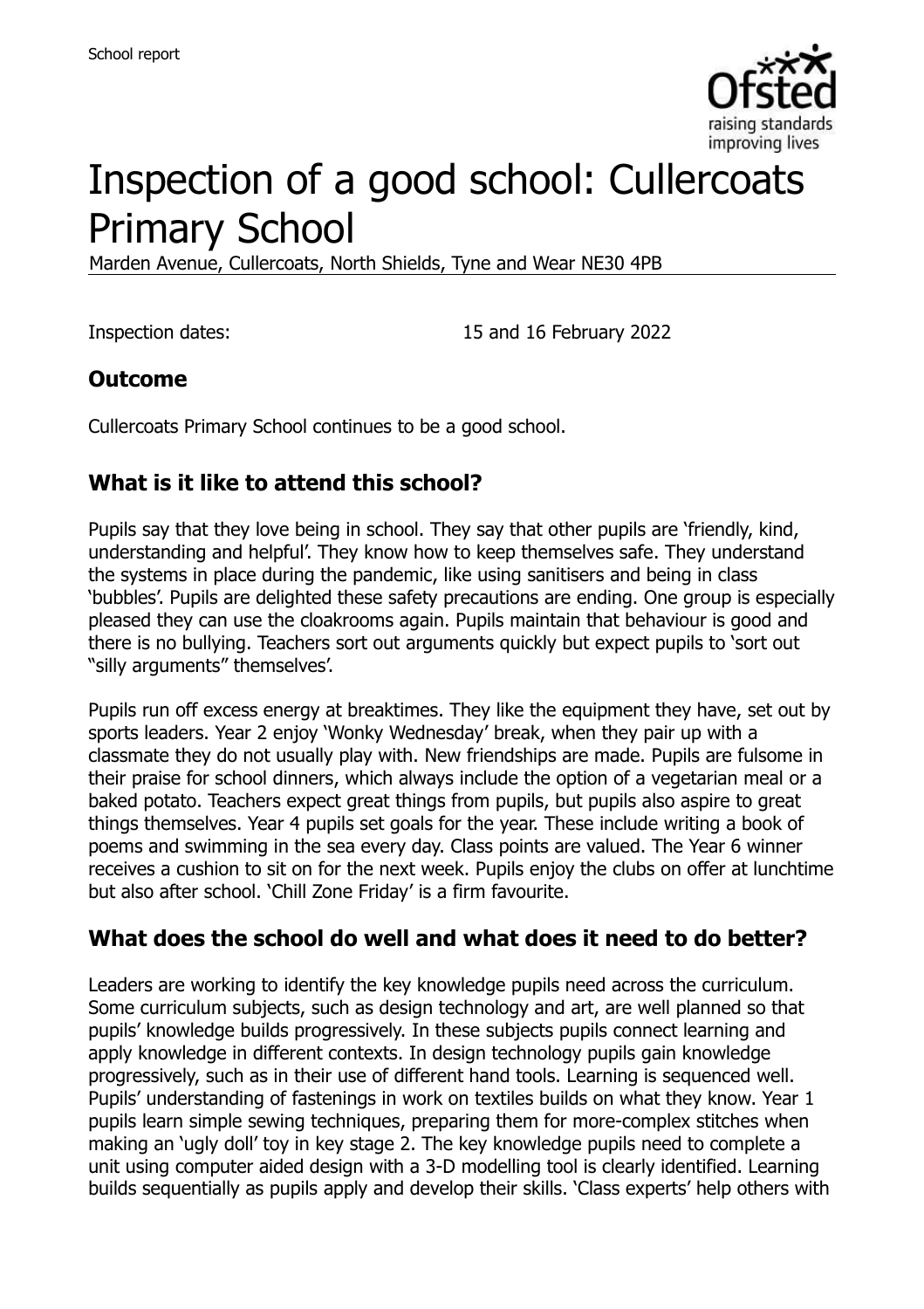

# Inspection of a good school: Cullercoats Primary School

Marden Avenue, Cullercoats, North Shields, Tyne and Wear NE30 4PB

Inspection dates: 15 and 16 February 2022

#### **Outcome**

Cullercoats Primary School continues to be a good school.

### **What is it like to attend this school?**

Pupils say that they love being in school. They say that other pupils are 'friendly, kind, understanding and helpful'. They know how to keep themselves safe. They understand the systems in place during the pandemic, like using sanitisers and being in class 'bubbles'. Pupils are delighted these safety precautions are ending. One group is especially pleased they can use the cloakrooms again. Pupils maintain that behaviour is good and there is no bullying. Teachers sort out arguments quickly but expect pupils to 'sort out "silly arguments" themselves'.

Pupils run off excess energy at breaktimes. They like the equipment they have, set out by sports leaders. Year 2 enjoy 'Wonky Wednesday' break, when they pair up with a classmate they do not usually play with. New friendships are made. Pupils are fulsome in their praise for school dinners, which always include the option of a vegetarian meal or a baked potato. Teachers expect great things from pupils, but pupils also aspire to great things themselves. Year 4 pupils set goals for the year. These include writing a book of poems and swimming in the sea every day. Class points are valued. The Year 6 winner receives a cushion to sit on for the next week. Pupils enjoy the clubs on offer at lunchtime but also after school. 'Chill Zone Friday' is a firm favourite.

#### **What does the school do well and what does it need to do better?**

Leaders are working to identify the key knowledge pupils need across the curriculum. Some curriculum subjects, such as design technology and art, are well planned so that pupils' knowledge builds progressively. In these subjects pupils connect learning and apply knowledge in different contexts. In design technology pupils gain knowledge progressively, such as in their use of different hand tools. Learning is sequenced well. Pupils' understanding of fastenings in work on textiles builds on what they know. Year 1 pupils learn simple sewing techniques, preparing them for more-complex stitches when making an 'ugly doll' toy in key stage 2. The key knowledge pupils need to complete a unit using computer aided design with a 3-D modelling tool is clearly identified. Learning builds sequentially as pupils apply and develop their skills. 'Class experts' help others with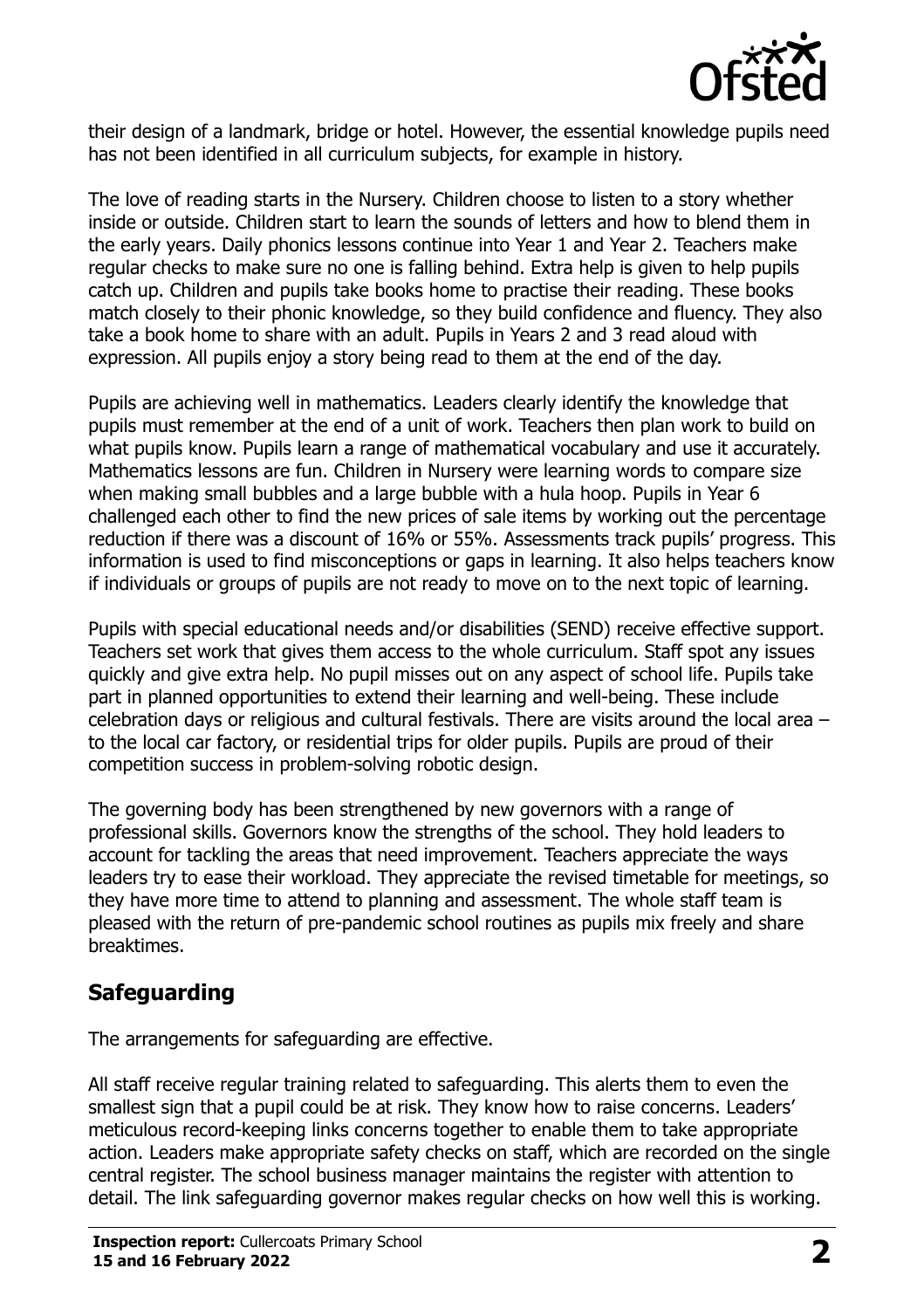

their design of a landmark, bridge or hotel. However, the essential knowledge pupils need has not been identified in all curriculum subjects, for example in history.

The love of reading starts in the Nursery. Children choose to listen to a story whether inside or outside. Children start to learn the sounds of letters and how to blend them in the early years. Daily phonics lessons continue into Year 1 and Year 2. Teachers make regular checks to make sure no one is falling behind. Extra help is given to help pupils catch up. Children and pupils take books home to practise their reading. These books match closely to their phonic knowledge, so they build confidence and fluency. They also take a book home to share with an adult. Pupils in Years 2 and 3 read aloud with expression. All pupils enjoy a story being read to them at the end of the day.

Pupils are achieving well in mathematics. Leaders clearly identify the knowledge that pupils must remember at the end of a unit of work. Teachers then plan work to build on what pupils know. Pupils learn a range of mathematical vocabulary and use it accurately. Mathematics lessons are fun. Children in Nursery were learning words to compare size when making small bubbles and a large bubble with a hula hoop. Pupils in Year 6 challenged each other to find the new prices of sale items by working out the percentage reduction if there was a discount of 16% or 55%. Assessments track pupils' progress. This information is used to find misconceptions or gaps in learning. It also helps teachers know if individuals or groups of pupils are not ready to move on to the next topic of learning.

Pupils with special educational needs and/or disabilities (SEND) receive effective support. Teachers set work that gives them access to the whole curriculum. Staff spot any issues quickly and give extra help. No pupil misses out on any aspect of school life. Pupils take part in planned opportunities to extend their learning and well-being. These include celebration days or religious and cultural festivals. There are visits around the local area – to the local car factory, or residential trips for older pupils. Pupils are proud of their competition success in problem-solving robotic design.

The governing body has been strengthened by new governors with a range of professional skills. Governors know the strengths of the school. They hold leaders to account for tackling the areas that need improvement. Teachers appreciate the ways leaders try to ease their workload. They appreciate the revised timetable for meetings, so they have more time to attend to planning and assessment. The whole staff team is pleased with the return of pre-pandemic school routines as pupils mix freely and share breaktimes.

#### **Safeguarding**

The arrangements for safeguarding are effective.

All staff receive regular training related to safeguarding. This alerts them to even the smallest sign that a pupil could be at risk. They know how to raise concerns. Leaders' meticulous record-keeping links concerns together to enable them to take appropriate action. Leaders make appropriate safety checks on staff, which are recorded on the single central register. The school business manager maintains the register with attention to detail. The link safeguarding governor makes regular checks on how well this is working.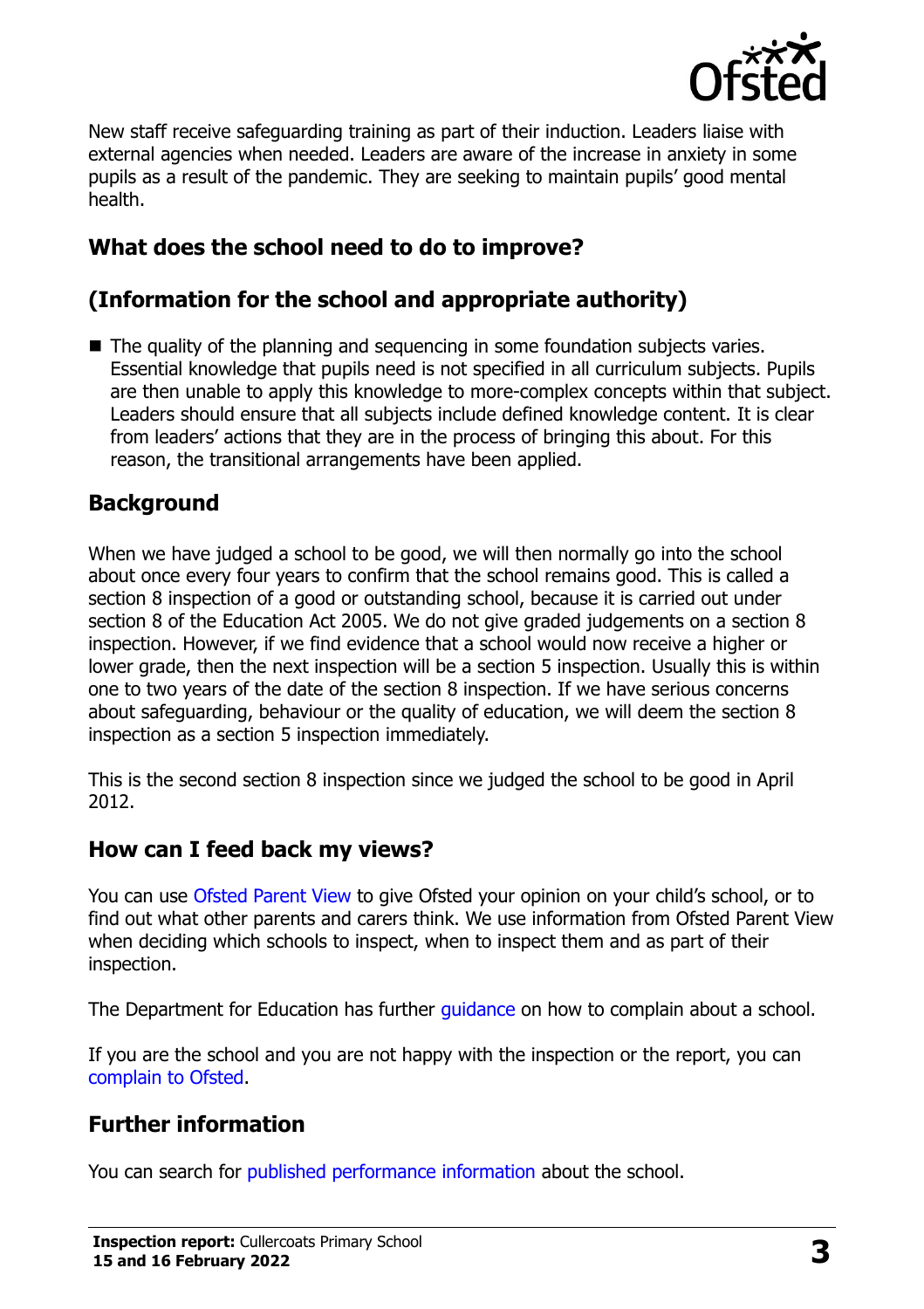

New staff receive safeguarding training as part of their induction. Leaders liaise with external agencies when needed. Leaders are aware of the increase in anxiety in some pupils as a result of the pandemic. They are seeking to maintain pupils' good mental health.

# **What does the school need to do to improve?**

# **(Information for the school and appropriate authority)**

■ The quality of the planning and sequencing in some foundation subjects varies. Essential knowledge that pupils need is not specified in all curriculum subjects. Pupils are then unable to apply this knowledge to more-complex concepts within that subject. Leaders should ensure that all subjects include defined knowledge content. It is clear from leaders' actions that they are in the process of bringing this about. For this reason, the transitional arrangements have been applied.

#### **Background**

When we have judged a school to be good, we will then normally go into the school about once every four years to confirm that the school remains good. This is called a section 8 inspection of a good or outstanding school, because it is carried out under section 8 of the Education Act 2005. We do not give graded judgements on a section 8 inspection. However, if we find evidence that a school would now receive a higher or lower grade, then the next inspection will be a section 5 inspection. Usually this is within one to two years of the date of the section 8 inspection. If we have serious concerns about safeguarding, behaviour or the quality of education, we will deem the section 8 inspection as a section 5 inspection immediately.

This is the second section 8 inspection since we judged the school to be good in April 2012.

#### **How can I feed back my views?**

You can use [Ofsted Parent View](https://parentview.ofsted.gov.uk/) to give Ofsted your opinion on your child's school, or to find out what other parents and carers think. We use information from Ofsted Parent View when deciding which schools to inspect, when to inspect them and as part of their inspection.

The Department for Education has further quidance on how to complain about a school.

If you are the school and you are not happy with the inspection or the report, you can [complain to Ofsted.](https://www.gov.uk/complain-ofsted-report)

#### **Further information**

You can search for [published performance information](http://www.compare-school-performance.service.gov.uk/) about the school.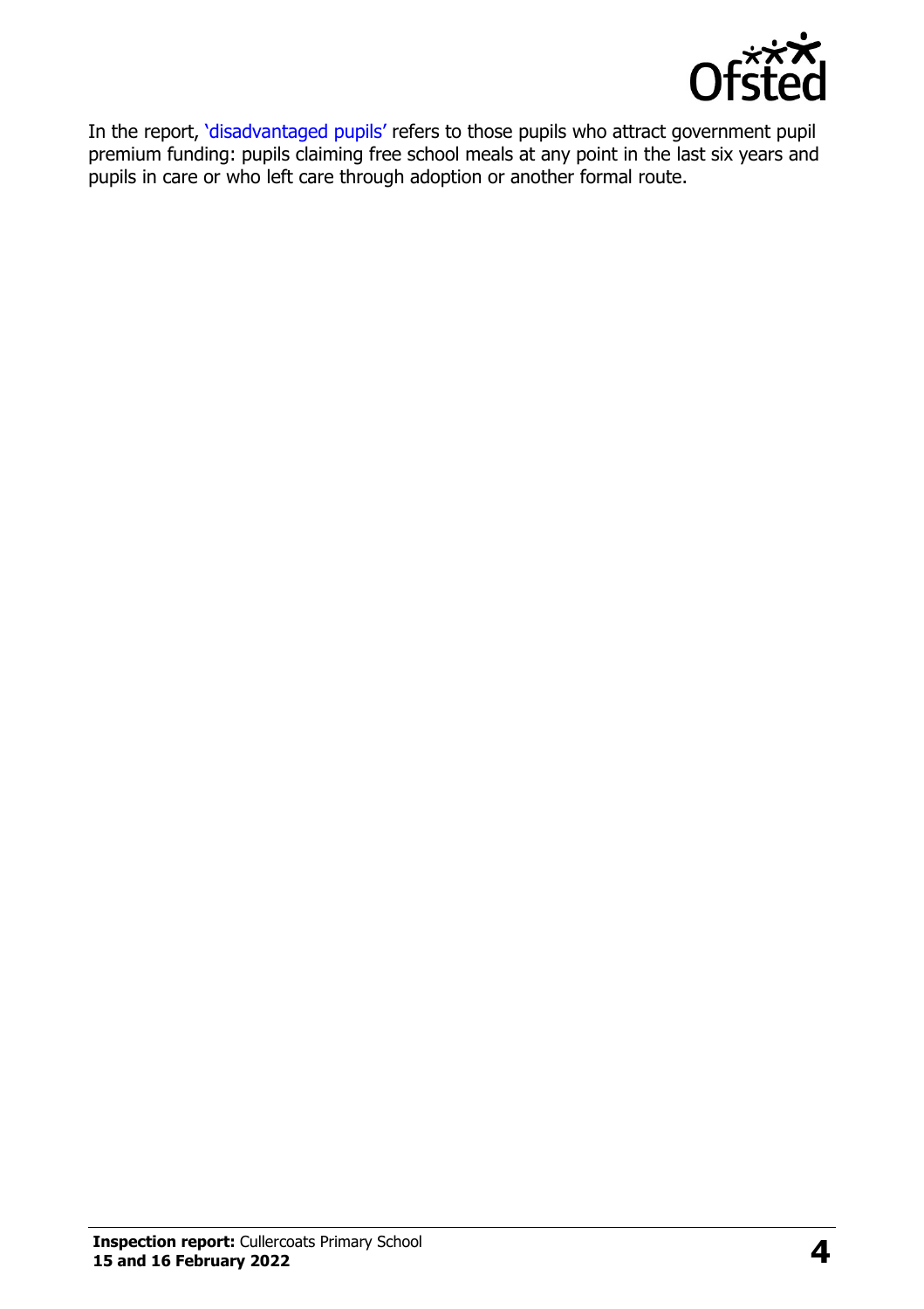

In the report, '[disadvantaged pupils](http://www.gov.uk/guidance/pupil-premium-information-for-schools-and-alternative-provision-settings)' refers to those pupils who attract government pupil premium funding: pupils claiming free school meals at any point in the last six years and pupils in care or who left care through adoption or another formal route.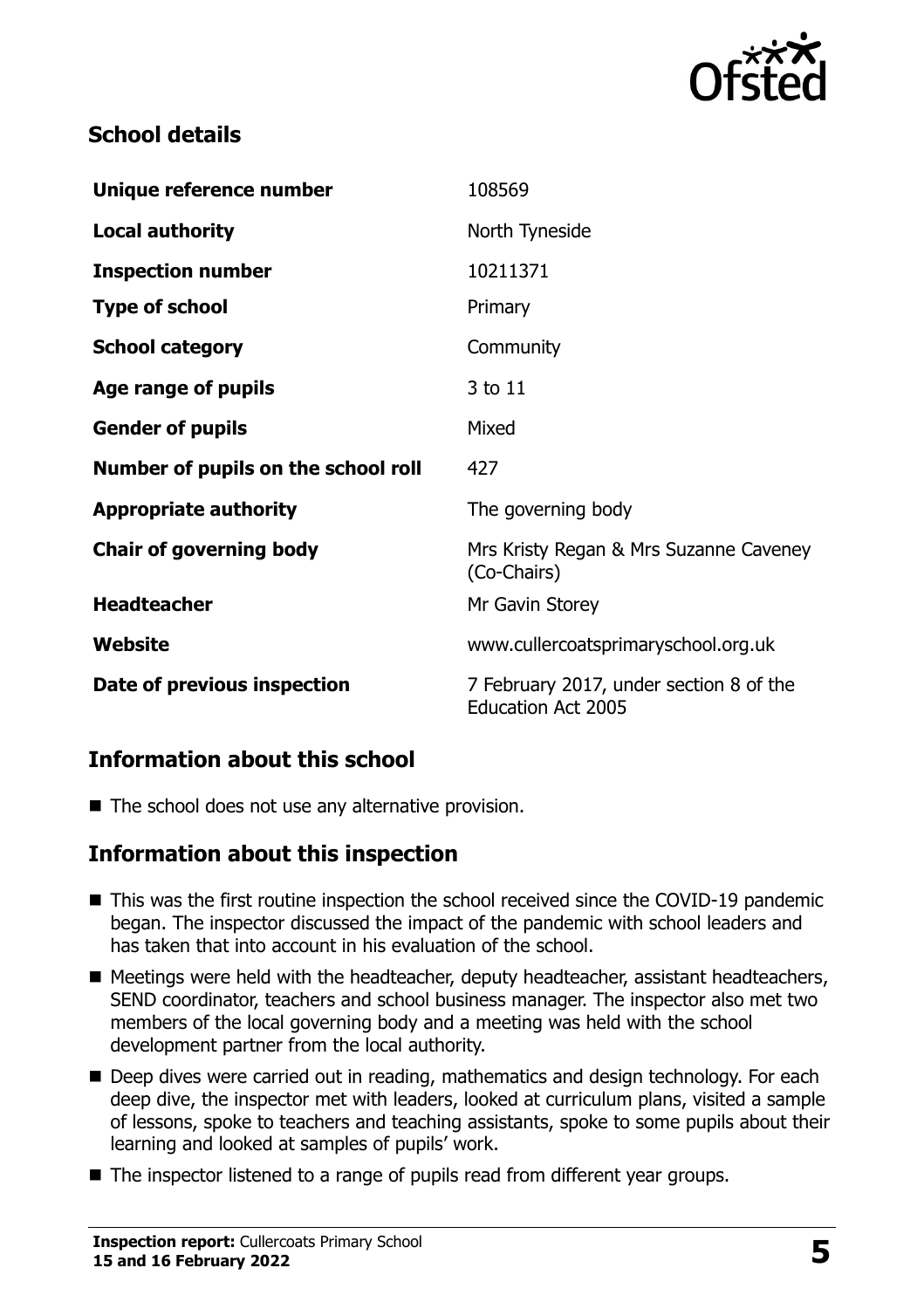

## **School details**

| Unique reference number             | 108569                                                |
|-------------------------------------|-------------------------------------------------------|
| <b>Local authority</b>              | North Tyneside                                        |
| <b>Inspection number</b>            | 10211371                                              |
| <b>Type of school</b>               | Primary                                               |
| <b>School category</b>              | Community                                             |
| Age range of pupils                 | 3 to 11                                               |
| <b>Gender of pupils</b>             | Mixed                                                 |
|                                     | 427                                                   |
| Number of pupils on the school roll |                                                       |
| <b>Appropriate authority</b>        | The governing body                                    |
| <b>Chair of governing body</b>      | Mrs Kristy Regan & Mrs Suzanne Caveney<br>(Co-Chairs) |
| <b>Headteacher</b>                  | Mr Gavin Storey                                       |
| Website                             | www.cullercoatsprimaryschool.org.uk                   |

#### **Information about this school**

 $\blacksquare$  The school does not use any alternative provision.

#### **Information about this inspection**

- This was the first routine inspection the school received since the COVID-19 pandemic began. The inspector discussed the impact of the pandemic with school leaders and has taken that into account in his evaluation of the school.
- Meetings were held with the headteacher, deputy headteacher, assistant headteachers, SEND coordinator, teachers and school business manager. The inspector also met two members of the local governing body and a meeting was held with the school development partner from the local authority.
- Deep dives were carried out in reading, mathematics and design technology. For each deep dive, the inspector met with leaders, looked at curriculum plans, visited a sample of lessons, spoke to teachers and teaching assistants, spoke to some pupils about their learning and looked at samples of pupils' work.
- The inspector listened to a range of pupils read from different year groups.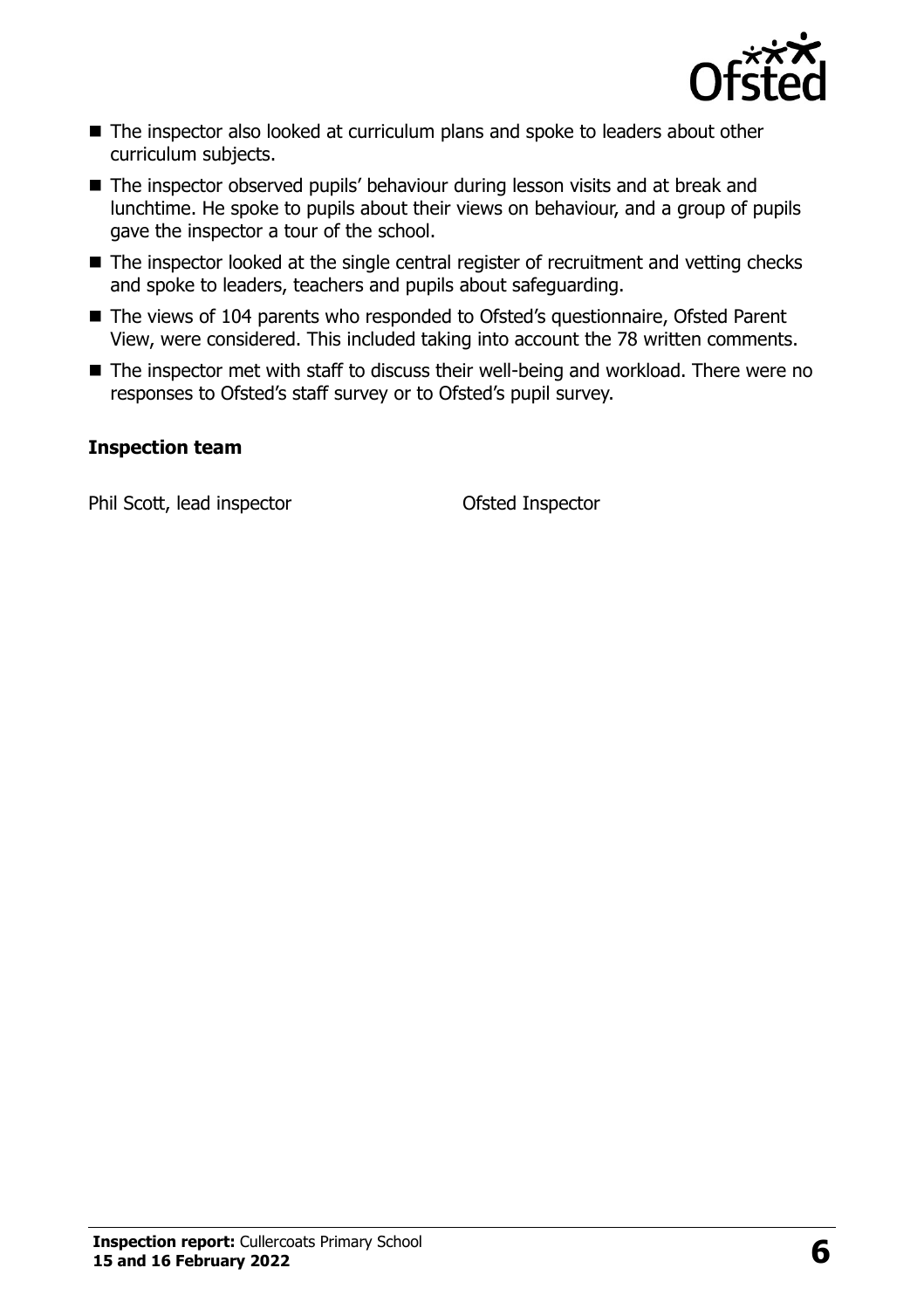

- The inspector also looked at curriculum plans and spoke to leaders about other curriculum subjects.
- The inspector observed pupils' behaviour during lesson visits and at break and lunchtime. He spoke to pupils about their views on behaviour, and a group of pupils gave the inspector a tour of the school.
- The inspector looked at the single central register of recruitment and vetting checks and spoke to leaders, teachers and pupils about safeguarding.
- The views of 104 parents who responded to Ofsted's questionnaire, Ofsted Parent View, were considered. This included taking into account the 78 written comments.
- The inspector met with staff to discuss their well-being and workload. There were no responses to Ofsted's staff survey or to Ofsted's pupil survey.

#### **Inspection team**

Phil Scott, lead inspector **Ofsted Inspector**